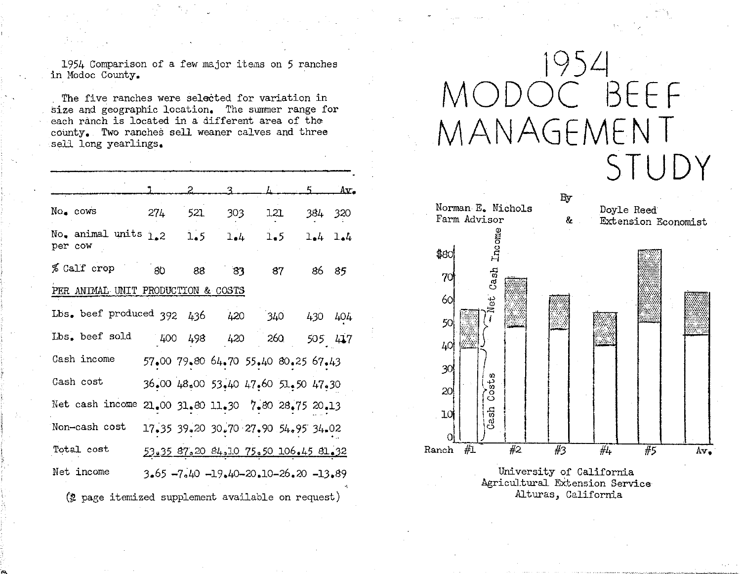1954 Comparison of a few major items on 5 ranches in Modoc County.

The five ranches were selected for variation in size and geographic location. The summer range for each ranch is located in a different area of the county. Two ranches sell weaner calves and three sell long yearlings.

|                                                   |                                   |     | 2   | વ               | Ь.                                   | 5.   | Av.     |
|---------------------------------------------------|-----------------------------------|-----|-----|-----------------|--------------------------------------|------|---------|
|                                                   | No. cows                          | 274 | 521 | 303             | 121                                  |      | 384 320 |
|                                                   | No. animal units $1.2$<br>per cow |     | 1.5 | $l_{\bullet}$ 4 | 1.5                                  |      | 1.4 1.4 |
|                                                   | % Cali crop                       | 80  | 88  | 83              | 87                                   | 86 - | 85      |
| PER ANIMAL UNIT PRODUCTION & COSTS                |                                   |     |     |                 |                                      |      |         |
|                                                   | Lbs. beef produced $392$ $436$    |     |     |                 | 420 340                              |      | 430 404 |
|                                                   | Lbs. beef sold                    |     |     |                 | 400 498 420 260                      |      | 505 417 |
|                                                   | Cash income                       |     |     |                 | 57.00 79.80 64.70 55.40 80.25 67.43  |      |         |
|                                                   | Cash cost                         |     |     |                 | 36.00 48.00 53.40 47.60 51.50 47.30  |      |         |
|                                                   | Net cash income                   |     |     |                 | $21,00$ 31.80 11.30 7.80 28.75 20.13 |      |         |
|                                                   | Non-cash cost                     |     |     |                 | 17.35 39.20 30.70 27.90 54.95 34.02  |      |         |
|                                                   | Total cost                        |     |     |                 | 53.35 87.20 84.10 75.50 106.45 81.32 |      |         |
|                                                   | Net income                        |     |     |                 | 3.65 -7.40 -19.40-20.10-26.20 -13.89 |      |         |
| (2 page itemized supplement available on request) |                                   |     |     |                 |                                      |      |         |

## 1954 ODOC BEFF MANAGEMENT STUDY



Alturas, California